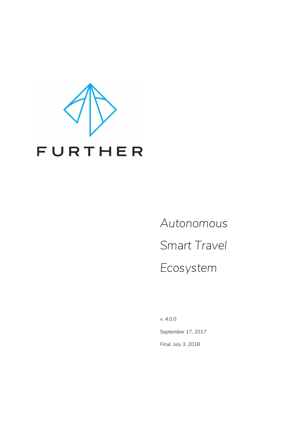

*Autonomous Smart Travel Ecosystem*

*v. 4.0.0 September 17, 2017 Final, July 3, 2018*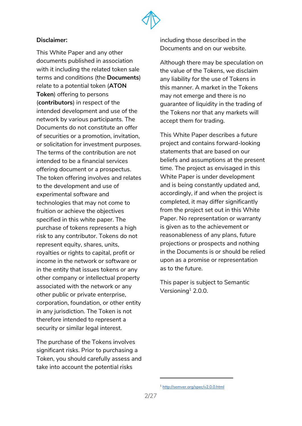

#### **Disclaimer:**

This White Paper and any other documents published in association with it including the related token sale terms and conditions (the **Documents**) relate to a potential token (**ATON Token**) offering to persons (**contributors**) in respect of the intended development and use of the network by various participants. The Documents do not constitute an offer of securities or a promotion, invitation, or solicitation for investment purposes. The terms of the contribution are not intended to be a financial services offering document or a prospectus. The token offering involves and relates to the development and use of experimental software and technologies that may not come to fruition or achieve the objectives specified in this white paper. The purchase of tokens represents a high risk to any contributor. Tokens do not represent equity, shares, units, royalties or rights to capital, profit or income in the network or software or in the entity that issues tokens or any other company or intellectual property associated with the network or any other public or private enterprise, corporation, foundation, or other entity in any jurisdiction. The Token is not therefore intended to represent a security or similar legal interest.

The purchase of the Tokens involves significant risks. Prior to purchasing a Token, you should carefully assess and take into account the potential risks

including those described in the Documents and on our website.

Although there may be speculation on the value of the Tokens, we disclaim any liability for the use of Tokens in this manner. A market in the Tokens may not emerge and there is no guarantee of liquidity in the trading of the Tokens nor that any markets will accept them for trading.

This White Paper describes a future project and contains forward-looking statements that are based on our beliefs and assumptions at the present time. The project as envisaged in this White Paper is under development and is being constantly updated and, accordingly, if and when the project is completed, it may differ significantly from the project set out in this White Paper. No representation or warranty is given as to the achievement or reasonableness of any plans, future projections or prospects and nothing in the Documents is or should be relied upon as a promise or representation as to the future.

This paper is subject to Semantic Versioning $^1$  2.0.0.

<sup>1</sup> <http://semver.org/spec/v2.0.0.html>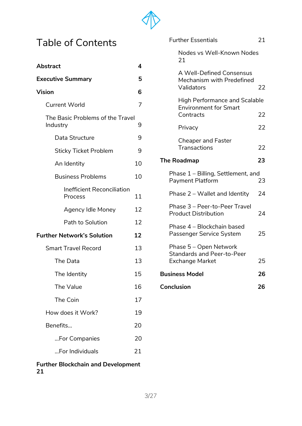

# Table of Contents

| <b>Abstract</b>                              | 4  |  |  |
|----------------------------------------------|----|--|--|
| <b>Executive Summary</b>                     | 5  |  |  |
| <b>Vision</b>                                | 6  |  |  |
| <b>Current World</b>                         | 7  |  |  |
| The Basic Problems of the Travel<br>Industry | 9  |  |  |
| Data Structure                               | 9  |  |  |
| <b>Sticky Ticket Problem</b>                 | 9  |  |  |
| An Identity                                  | 10 |  |  |
| <b>Business Problems</b>                     | 10 |  |  |
| <b>Inefficient Reconciliation</b><br>Process | 11 |  |  |
| <b>Agency Idle Money</b>                     | 12 |  |  |
| Path to Solution                             | 12 |  |  |
| <b>Further Network's Solution</b>            | 12 |  |  |
| <b>Smart Travel Record</b>                   | 13 |  |  |
| The Data                                     | 13 |  |  |
| The Identity                                 | 15 |  |  |
| The Value                                    | 16 |  |  |
| The Coin                                     | 17 |  |  |
| How does it Work?                            | 19 |  |  |
| Benefits                                     | 20 |  |  |
| For Companies                                | 20 |  |  |
| For Individuals                              | 21 |  |  |
| <b>Further Blockchain and Development</b>    |    |  |  |

|    | <b>Further Blockchain and Development</b> |  |  |
|----|-------------------------------------------|--|--|
| 21 |                                           |  |  |

| <b>Further Essentials</b>                                                             | 21 |
|---------------------------------------------------------------------------------------|----|
| Nodes vs Well-Known Nodes<br>21                                                       |    |
| A Well-Defined Consensus<br>Mechanism with Predefined<br>Validators                   | 22 |
| <b>High Performance and Scalable</b><br><b>Environment for Smart</b><br>Contracts     | 22 |
| Privacy                                                                               | 22 |
| <b>Cheaper and Faster</b><br>Transactions                                             | 22 |
| <b>The Roadmap</b>                                                                    | 23 |
| Phase 1 – Billing, Settlement, and<br>Payment Platform                                | 23 |
| Phase 2 - Wallet and Identity                                                         | 24 |
| Phase 3 - Peer-to-Peer Travel<br><b>Product Distribution</b>                          | 24 |
| Phase 4 - Blockchain based<br>Passenger Service System                                | 25 |
| Phase 5 - Open Network<br><b>Standards and Peer-to-Peer</b><br><b>Exchange Market</b> | 25 |
| <b>Business Model</b>                                                                 | 26 |
| Conclusion                                                                            | 26 |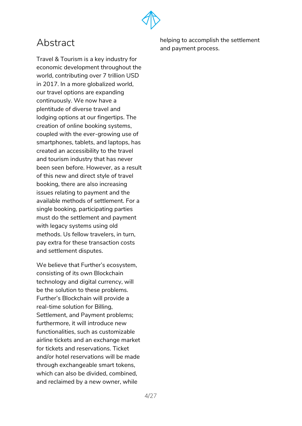

# <span id="page-3-0"></span>Abstract

Travel & Tourism is a key industry for economic development throughout the world, contributing over 7 trillion USD in 2017. In a more globalized world, our travel options are expanding continuously. We now have a plentitude of diverse travel and lodging options at our fingertips. The creation of online booking systems, coupled with the ever-growing use of smartphones, tablets, and laptops, has created an accessibility to the travel and tourism industry that has never been seen before. However, as a result of this new and direct style of travel booking, there are also increasing issues relating to payment and the available methods of settlement. For a single booking, participating parties must do the settlement and payment with legacy systems using old methods. Us fellow travelers, in turn, pay extra for these transaction costs and settlement disputes.

We believe that Further's ecosystem, consisting of its own Blockchain technology and digital currency, will be the solution to these problems. Further's Blockchain will provide a real-time solution for Billing, Settlement, and Payment problems; furthermore, it will introduce new functionalities, such as customizable airline tickets and an exchange market for tickets and reservations. Ticket and/or hotel reservations will be made through exchangeable smart tokens, which can also be divided, combined, and reclaimed by a new owner, while

helping to accomplish the settlement and payment process.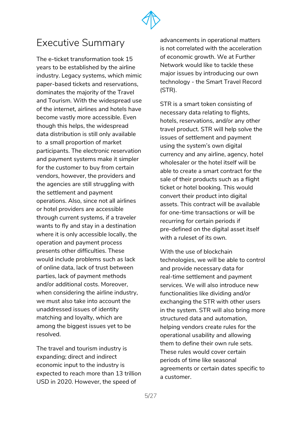

# <span id="page-4-0"></span>Executive Summary

The e-ticket transformation took 15 years to be established by the airline industry. Legacy systems, which mimic paper-based tickets and reservations, dominates the majority of the Travel and Tourism. With the widespread use of the internet, airlines and hotels have become vastly more accessible. Even though this helps, the widespread data distribution is still only available to a small proportion of market participants. The electronic reservation and payment systems make it simpler for the customer to buy from certain vendors, however, the providers and the agencies are still struggling with the settlement and payment operations. Also, since not all airlines or hotel providers are accessible through current systems, if a traveler wants to fly and stay in a destination where it is only accessible locally, the operation and payment process presents other difficulties. These would include problems such as lack of online data, lack of trust between parties, lack of payment methods and/or additional costs. Moreover, when considering the airline industry, we must also take into account the unaddressed issues of identity matching and loyalty, which are among the biggest issues yet to be resolved.

The travel and tourism industry is expanding; direct and indirect economic input to the industry is expected to reach more than 13 trillion USD in 2020. However, the speed of

advancements in operational matters is not correlated with the acceleration of economic growth. We at Further Network would like to tackle these major issues by introducing our own technology - the Smart Travel Record (STR).

STR is a smart token consisting of necessary data relating to flights, hotels, reservations, and/or any other travel product. STR will help solve the issues of settlement and payment using the system's own digital currency and any airline, agency, hotel wholesaler or the hotel itself will be able to create a smart contract for the sale of their products such as a flight ticket or hotel booking. This would convert their product into digital assets. This contract will be available for one-time transactions or will be recurring for certain periods if pre-defined on the digital asset itself with a ruleset of its own.

With the use of blockchain technologies, we will be able to control and provide necessary data for real-time settlement and payment services. We will also introduce new functionalities like dividing and/or exchanging the STR with other users in the system. STR will also bring more structured data and automation, helping vendors create rules for the operational usability and allowing them to define their own rule sets. These rules would cover certain periods of time like seasonal agreements or certain dates specific to a customer.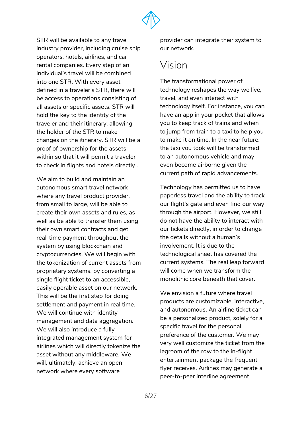

STR will be available to any travel industry provider, including cruise ship operators, hotels, airlines, and car rental companies. Every step of an individual's travel will be combined into one STR. With every asset defined in a traveler's STR, there will be access to operations consisting of all assets or specific assets. STR will hold the key to the identity of the traveler and their itinerary, allowing the holder of the STR to make changes on the itinerary. STR will be a proof of ownership for the assets within so that it will permit a traveler to check in flights and hotels directly .

We aim to build and maintain an autonomous smart travel network where any travel product provider, from small to large, will be able to create their own assets and rules, as well as be able to transfer them using their own smart contracts and get real-time payment throughout the system by using blockchain and cryptocurrencies. We will begin with the tokenization of current assets from proprietary systems, by converting a single flight ticket to an accessible, easily operable asset on our network. This will be the first step for doing settlement and payment in real time. We will continue with identity management and data aggregation. We will also introduce a fully integrated management system for airlines which will directly tokenize the asset without any middleware. We will, ultimately, achieve an open network where every software

provider can integrate their system to our network.

# <span id="page-5-0"></span>Vision

The transformational power of technology reshapes the way we live, travel, and even interact with technology itself. For instance, you can have an app in your pocket that allows you to keep track of trains and when to jump from train to a taxi to help you to make it on time. In the near future, the taxi you took will be transformed to an autonomous vehicle and may even become airborne given the current path of rapid advancements.

Technology has permitted us to have paperless travel and the ability to track our flight's gate and even find our way through the airport. However, we still do not have the ability to interact with our tickets directly, in order to change the details without a human's involvement. It is due to the technological sheet has covered the current systems. The real leap forward will come when we transform the monolithic core beneath that cover.

We envision a future where travel products are customizable, interactive, and autonomous. An airline ticket can be a personalized product, solely for a specific travel for the personal preference of the customer. We may very well customize the ticket from the legroom of the row to the in-flight entertainment package the frequent flyer receives. Airlines may generate a peer-to-peer interline agreement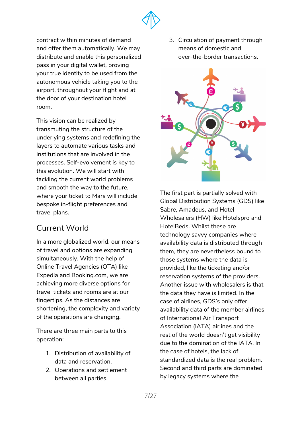

contract within minutes of demand and offer them automatically. We may distribute and enable this personalized pass in your digital wallet, proving your true identity to be used from the autonomous vehicle taking you to the airport, throughout your flight and at the door of your destination hotel room.

This vision can be realized by transmuting the structure of the underlying systems and redefining the layers to automate various tasks and institutions that are involved in the processes. Self-evolvement is key to this evolution. We will start with tackling the current world problems and smooth the way to the future, where your ticket to Mars will include bespoke in-flight preferences and travel plans.

## <span id="page-6-0"></span>Current World

In a more globalized world, our means of travel and options are expanding simultaneously. With the help of Online Travel Agencies (OTA) like Expedia and Booking.com, we are achieving more diverse options for travel tickets and rooms are at our fingertips. As the distances are shortening, the complexity and variety of the operations are changing.

There are three main parts to this operation:

- 1. Distribution of availability of data and reservation.
- 2. Operations and settlement between all parties.

3. Circulation of payment through means of domestic and over-the-border transactions.



The first part is partially solved with Global Distribution Systems (GDS) like Sabre, Amadeus, and Hotel Wholesalers (HW) like Hotelspro and HotelBeds. Whilst these are technology savvy companies where availability data is distributed through them, they are nevertheless bound to those systems where the data is provided, like the ticketing and/or reservation systems of the providers. Another issue with wholesalers is that the data they have is limited. In the case of airlines, GDS's only offer availability data of the member airlines of International Air Transport Association (IATA) airlines and the rest of the world doesn't get visibility due to the domination of the IATA. In the case of hotels, the lack of standardized data is the real problem. Second and third parts are dominated by legacy systems where the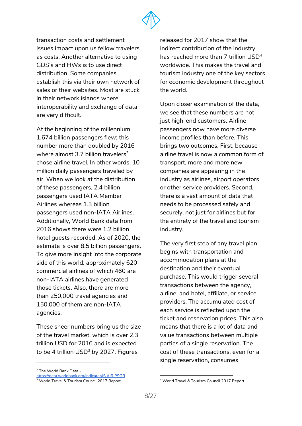

transaction costs and settlement issues impact upon us fellow travelers as costs. Another alternative to using GDS's and HWs is to use direct distribution. Some companies establish this via their own network of sales or their websites. Most are stuck in their network islands where interoperability and exchange of data are very difficult.

At the beginning of the millennium 1.674 billion passengers flew; this number more than doubled by 2016 where almost 3.7 billion travelers<sup>2</sup> chose airline travel. In other words, 10 million daily passengers traveled by air. When we look at the distribution of these passengers, 2.4 billion passengers used IATA Member Airlines whereas 1.3 billion passengers used non-IATA Airlines. Additionally, World Bank data from 2016 shows there were 1.2 billion hotel guests recorded. As of 2020, the estimate is over 8.5 billion passengers. To give more insight into the corporate side of this world, approximately 620 commercial airlines of which 460 are non-IATA airlines have generated those tickets. Also, there are more than 250,000 travel agencies and 150,000 of them are non-IATA agencies.

These sheer numbers bring us the size of the travel market, which is over 2.3 trillion USD for 2016 and is expected to be 4 trillion USD $^3$  by 2027. Figures

<sup>2</sup> The World Bank Data -

<https://data.worldbank.org/indicator/IS.AIR.PSGR>

<sup>3</sup> World Travel & Tourism Council 2017 Report

released for 2017 show that the indirect contribution of the industry has reached more than 7 trillion  $\mathsf{USD}^4$ worldwide. This makes the travel and tourism industry one of the key sectors for economic development throughout the world.

Upon closer examination of the data, we see that these numbers are not just high-end customers. Airline passengers now have more diverse income profiles than before. This brings two outcomes. First, because airline travel is now a common form of transport, more and more new companies are appearing in the industry as airlines, airport operators or other service providers. Second, there is a vast amount of data that needs to be processed safely and securely, not just for airlines but for the entirety of the travel and tourism industry.

The very first step of any travel plan begins with transportation and accommodation plans at the destination and their eventual purchase. This would trigger several transactions between the agency, airline, and hotel, affiliate, or service providers. The accumulated cost of each service is reflected upon the ticket and reservation prices. This also means that there is a lot of data and value transactions between multiple parties of a single reservation. The cost of these transactions, even for a single reservation, consumes

<sup>4</sup> World Travel & Tourism Council 2017 Report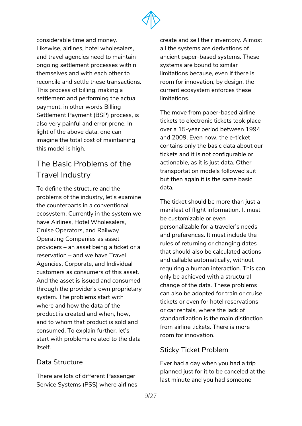

considerable time and money. Likewise, airlines, hotel wholesalers, and travel agencies need to maintain ongoing settlement processes within themselves and with each other to reconcile and settle these transactions. This process of billing, making a settlement and performing the actual payment, in other words Billing Settlement Payment (BSP) process, is also very painful and error prone. In light of the above data, one can imagine the total cost of maintaining this model is high.

# <span id="page-8-0"></span>The Basic Problems of the Travel Industry

To define the structure and the problems of the industry, let's examine the counterparts in a conventional ecosystem. Currently in the system we have Airlines, Hotel Wholesalers, Cruise Operators, and Railway Operating Companies as asset providers – an asset being a ticket or a reservation – and we have Travel Agencies, Corporate, and Individual customers as consumers of this asset. And the asset is issued and consumed through the provider's own proprietary system. The problems start with where and how the data of the product is created and when, how, and to whom that product is sold and consumed. To explain further, let's start with problems related to the data itself.

## <span id="page-8-1"></span>Data Structure

There are lots of different Passenger Service Systems (PSS) where airlines create and sell their inventory. Almost all the systems are derivations of ancient paper-based systems. These systems are bound to similar limitations because, even if there is room for innovation, by design, the current ecosystem enforces these limitations.

The move from paper-based airline tickets to electronic tickets took place over a 15-year period between 1994 and 2009. Even now, the e-ticket contains only the basic data about our tickets and it is not configurable or actionable, as it is just data. Other transportation models followed suit but then again it is the same basic data.

The ticket should be more than just a manifest of flight information. It must be customizable or even personalizable for a traveler's needs and preferences. It must include the rules of returning or changing dates that should also be calculated actions and callable automatically, without requiring a human interaction. This can only be achieved with a structural change of the data. These problems can also be adopted for train or cruise tickets or even for hotel reservations or car rentals, where the lack of standardization is the main distinction from airline tickets. There is more room for innovation.

## <span id="page-8-2"></span>Sticky Ticket Problem

Ever had a day when you had a trip planned just for it to be canceled at the last minute and you had someone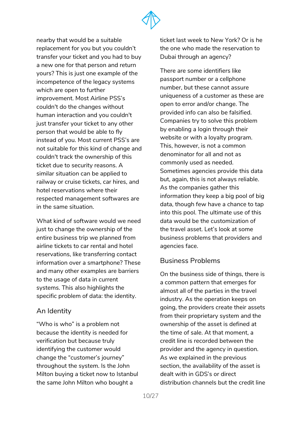

nearby that would be a suitable replacement for you but you couldn't transfer your ticket and you had to buy a new one for that person and return yours? This is just one example of the incompetence of the legacy systems which are open to further improvement. Most Airline PSS's couldn't do the changes without human interaction and you couldn't just transfer your ticket to any other person that would be able to fly instead of you. Most current PSS's are not suitable for this kind of change and couldn't track the ownership of this ticket due to security reasons. A similar situation can be applied to railway or cruise tickets, car hires, and hotel reservations where their respected management softwares are in the same situation.

What kind of software would we need just to change the ownership of the entire business trip we planned from airline tickets to car rental and hotel reservations, like transferring contact information over a smartphone? These and many other examples are barriers to the usage of data in current systems. This also highlights the specific problem of data: the identity.

#### <span id="page-9-0"></span>An Identity

"Who is who" is a problem not because the identity is needed for verification but because truly identifying the customer would change the "customer's journey" throughout the system. Is the John Milton buying a ticket now to Istanbul the same John Milton who bought a

ticket last week to New York? Or is he the one who made the reservation to Dubai through an agency?

There are some identifiers like passport number or a cellphone number, but these cannot assure uniqueness of a customer as these are open to error and/or change. The provided info can also be falsified. Companies try to solve this problem by enabling a login through their website or with a loyalty program. This, however, is not a common denominator for all and not as commonly used as needed. Sometimes agencies provide this data but, again, this is not always reliable. As the companies gather this information they keep a big pool of big data, though few have a chance to tap into this pool. The ultimate use of this data would be the customization of the travel asset. Let's look at some business problems that providers and agencies face.

### <span id="page-9-1"></span>Business Problems

On the business side of things, there is a common pattern that emerges for almost all of the parties in the travel industry. As the operation keeps on going, the providers create their assets from their proprietary system and the ownership of the asset is defined at the time of sale. At that moment, a credit line is recorded between the provider and the agency in question. As we explained in the previous section, the availability of the asset is dealt with in GDS's or direct distribution channels but the credit line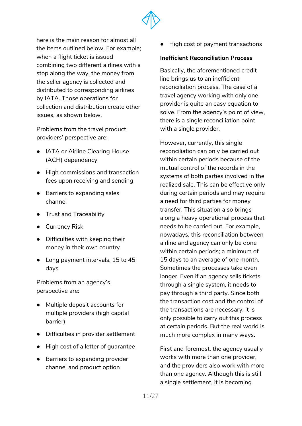

here is the main reason for almost all the items outlined below. For example; when a flight ticket is issued combining two different airlines with a stop along the way, the money from the seller agency is collected and distributed to corresponding airlines by IATA. Those operations for collection and distribution create other issues, as shown below.

Problems from the travel product providers' perspective are:

- IATA or Airline Clearing House (ACH) dependency
- High commissions and transaction fees upon receiving and sending
- Barriers to expanding sales channel
- Trust and Traceability
- Currency Risk
- Difficulties with keeping their money in their own country
- Long payment intervals, 15 to 45 days

Problems from an agency's perspective are:

- Multiple deposit accounts for multiple providers (high capital barrier)
- Difficulties in provider settlement
- High cost of a letter of guarantee
- Barriers to expanding provider channel and product option

● High cost of payment transactions

#### <span id="page-10-0"></span>**Inefficient Reconciliation Process**

Basically, the aforementioned credit line brings us to an inefficient reconciliation process. The case of a travel agency working with only one provider is quite an easy equation to solve. From the agency's point of view, there is a single reconciliation point with a single provider.

However, currently, this single reconciliation can only be carried out within certain periods because of the mutual control of the records in the systems of both parties involved in the realized sale. This can be effective only during certain periods and may require a need for third parties for money transfer. This situation also brings along a heavy operational process that needs to be carried out. For example, nowadays, this reconciliation between airline and agency can only be done within certain periods; a minimum of 15 days to an average of one month. Sometimes the processes take even longer. Even if an agency sells tickets through a single system, it needs to pay through a third party. Since both the transaction cost and the control of the transactions are necessary, it is only possible to carry out this process at certain periods. But the real world is much more complex in many ways.

First and foremost, the agency usually works with more than one provider, and the providers also work with more than one agency. Although this is still a single settlement, it is becoming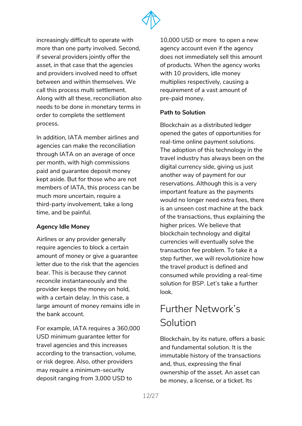

increasingly difficult to operate with more than one party involved. Second, if several providers jointly offer the asset, in that case that the agencies and providers involved need to offset between and within themselves. We call this process multi settlement. Along with all these, reconciliation also needs to be done in monetary terms in order to complete the settlement process.

In addition, IATA member airlines and agencies can make the reconciliation through IATA on an average of once per month, with high commissions paid and guarantee deposit money kept aside. But for those who are not members of IATA, this process can be much more uncertain, require a third-party involvement, take a long time, and be painful.

#### <span id="page-11-0"></span>**Agency Idle Money**

Airlines or any provider generally require agencies to block a certain amount of money or give a guarantee letter due to the risk that the agencies bear. This is because they cannot reconcile instantaneously and the provider keeps the money on hold, with a certain delay. In this case, a large amount of money remains idle in the bank account.

For example, IATA requires a 360,000 USD minimum guarantee letter for travel agencies and this increases according to the transaction, volume, or risk degree. Also, other providers may require a minimum-security deposit ranging from 3,000 USD to

10,000 USD or more to open a new agency account even if the agency does not immediately sell this amount of products. When the agency works with 10 providers, idle money multiplies respectively, causing a requirement of a vast amount of pre-paid money.

#### <span id="page-11-1"></span>**Path to Solution**

Blockchain as a distributed ledger opened the gates of opportunities for real-time online payment solutions. The adoption of this technology in the travel industry has always been on the digital currency side, giving us just another way of payment for our reservations. Although this is a very important feature as the payments would no longer need extra fees, there is an unseen cost machine at the back of the transactions, thus explaining the higher prices. We believe that blockchain technology and digital currencies will eventually solve the transaction fee problem. To take it a step further, we will revolutionize how the travel product is defined and consumed while providing a real-time solution for BSP. Let's take a further look.

# <span id="page-11-2"></span>Further Network's Solution

Blockchain, by its nature, offers a basic and fundamental solution. It is the immutable history of the transactions and, thus, expressing the final ownership of the asset. An asset can be money, a license, or a ticket. Its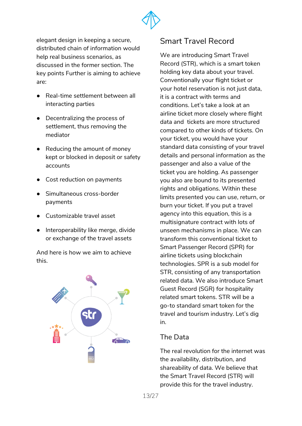

elegant design in keeping a secure, distributed chain of information would help real business scenarios, as discussed in the former section. The key points Further is aiming to achieve are:

- Real-time settlement between all interacting parties
- Decentralizing the process of settlement, thus removing the mediator
- Reducing the amount of money kept or blocked in deposit or safety accounts
- Cost reduction on payments
- Simultaneous cross-border payments
- Customizable travel asset
- Interoperability like merge, divide or exchange of the travel assets

And here is how we aim to achieve this.



## <span id="page-12-0"></span>Smart Travel Record

We are introducing Smart Travel Record (STR), which is a smart token holding key data about your travel. Conventionally your flight ticket or your hotel reservation is not just data, it is a contract with terms and conditions. Let's take a look at an airline ticket more closely where flight data and tickets are more structured compared to other kinds of tickets. On your ticket, you would have your standard data consisting of your travel details and personal information as the passenger and also a value of the ticket you are holding. As passenger you also are bound to its presented rights and obligations. Within these limits presented you can use, return, or burn your ticket. If you put a travel agency into this equation, this is a multisignature contract with lots of unseen mechanisms in place. We can transform this conventional ticket to Smart Passenger Record (SPR) for airline tickets using blockchain technologies. SPR is a sub model for STR, consisting of any transportation related data. We also introduce Smart Guest Record (SGR) for hospitality related smart tokens. STR will be a go-to standard smart token for the travel and tourism industry. Let's dig in.

### <span id="page-12-1"></span>The Data

The real revolution for the internet was the availability, distribution, and shareability of data. We believe that the Smart Travel Record (STR) will provide this for the travel industry.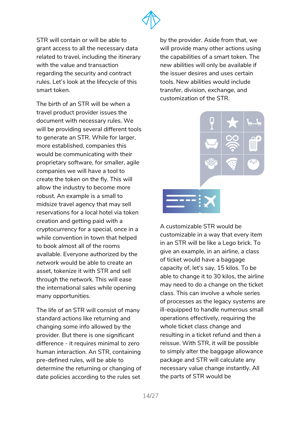

STR will contain or will be able to grant access to all the necessary data related to travel, including the itinerary with the value and transaction regarding the security and contract rules. Let's look at the lifecycle of this smart token.

The birth of an STR will be when a travel product provider issues the document with necessary rules. We will be providing several different tools to generate an STR. While for larger, more established, companies this would be communicating with their proprietary software, for smaller, agile companies we will have a tool to create the token on the fly. This will allow the industry to become more robust. An example is a small to midsize travel agency that may sell reservations for a local hotel via token creation and getting paid with a cryptocurrency for a special, once in a while convention in town that helped to book almost all of the rooms available. Everyone authorized by the network would be able to create an asset, tokenize it with STR and sell through the network. This will ease the international sales while opening many opportunities.

The life of an STR will consist of many standard actions like returning and changing some info allowed by the provider. But there is one significant difference - it requires minimal to zero human interaction. An STR, containing pre-defined rules, will be able to determine the returning or changing of date policies according to the rules set

by the provider. Aside from that, we will provide many other actions using the capabilities of a smart token. The new abilities will only be available if the issuer desires and uses certain tools. New abilities would include transfer, division, exchange, and customization of the STR.



A customizable STR would be customizable in a way that every item in an STR will be like a Lego brick. To give an example, in an airline, a class of ticket would have a baggage capacity of, let's say, 15 kilos. To be able to change it to 30 kilos, the airline may need to do a change on the ticket class. This can involve a whole series of processes as the legacy systems are ill-equipped to handle numerous small operations effectively, requiring the whole ticket class change and resulting in a ticket refund and then a reissue. With STR, it will be possible to simply alter the baggage allowance package and STR will calculate any necessary value change instantly. All the parts of STR would be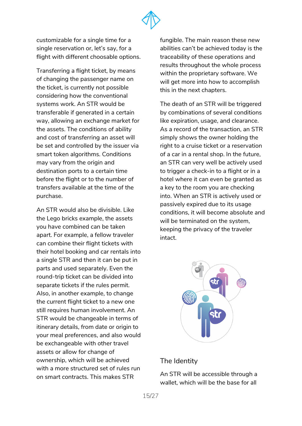

customizable for a single time for a single reservation or, let's say, for a flight with different choosable options.

Transferring a flight ticket, by means of changing the passenger name on the ticket, is currently not possible considering how the conventional systems work. An STR would be transferable if generated in a certain way, allowing an exchange market for the assets. The conditions of ability and cost of transferring an asset will be set and controlled by the issuer via smart token algorithms. Conditions may vary from the origin and destination ports to a certain time before the flight or to the number of transfers available at the time of the purchase.

An STR would also be divisible. Like the Lego bricks example, the assets you have combined can be taken apart. For example, a fellow traveler can combine their flight tickets with their hotel booking and car rentals into a single STR and then it can be put in parts and used separately. Even the round-trip ticket can be divided into separate tickets if the rules permit. Also, in another example, to change the current flight ticket to a new one still requires human involvement. An STR would be changeable in terms of itinerary details, from date or origin to your meal preferences, and also would be exchangeable with other travel assets or allow for change of ownership, which will be achieved with a more structured set of rules run on smart contracts. This makes STR

fungible. The main reason these new abilities can't be achieved today is the traceability of these operations and results throughout the whole process within the proprietary software. We will get more into how to accomplish this in the next chapters.

The death of an STR will be triggered by combinations of several conditions like expiration, usage, and clearance. As a record of the transaction, an STR simply shows the owner holding the right to a cruise ticket or a reservation of a car in a rental shop. In the future, an STR can very well be actively used to trigger a check-in to a flight or in a hotel where it can even be granted as a key to the room you are checking into. When an STR is actively used or passively expired due to its usage conditions, it will become absolute and will be terminated on the system, keeping the privacy of the traveler intact.

<span id="page-14-0"></span>

### The Identity

An STR will be accessible through a wallet, which will be the base for all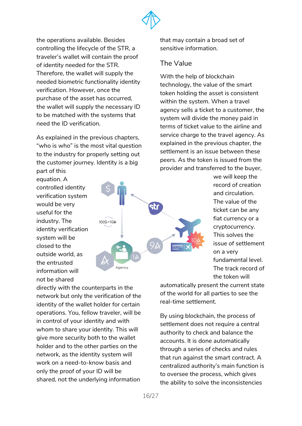

the operations available. Besides controlling the lifecycle of the STR, a traveler's wallet will contain the proof of identity needed for the STR. Therefore, the wallet will supply the needed biometric functionality identity verification. However, once the purchase of the asset has occurred, the wallet will supply the necessary ID to be matched with the systems that need the ID verification.

As explained in the previous chapters, "who is who" is the most vital question to the industry for properly setting out the customer journey. Identity is a big part of this

equation. A controlled identity verification system would be very useful for the industry. The identity verification system will be closed to the outside world, as the entrusted information will not be shared

 $1005 = 10A$ Aaency

that may contain a broad set of sensitive information.

#### <span id="page-15-0"></span>The Value

With the help of blockchain technology, the value of the smart token holding the asset is consistent within the system. When a travel agency sells a ticket to a customer, the system will divide the money paid in terms of ticket value to the airline and service charge to the travel agency. As explained in the previous chapter, the settlement is an issue between these peers. As the token is issued from the provider and transferred to the buyer,

> we will keep the record of creation and circulation. The value of the ticket can be any fiat currency or a cryptocurrency. This solves the issue of settlement on a very fundamental level. The track record of the token will

directly with the counterparts in the network but only the verification of the identity of the wallet holder for certain operations. You, fellow traveler, will be in control of your identity and with whom to share your identity. This will give more security both to the wallet holder and to the other parties on the network, as the identity system will work on a need-to-know basis and only the proof of your ID will be shared, not the underlying information

automatically present the current state of the world for all parties to see the real-time settlement.

By using blockchain, the process of settlement does not require a central authority to check and balance the accounts. It is done automatically through a series of checks and rules that run against the smart contract. A centralized authority's main function is to oversee the process, which gives the ability to solve the inconsistencies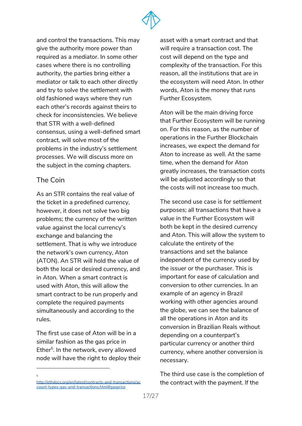

and control the transactions. This may give the authority more power than required as a mediator. In some other cases where there is no controlling authority, the parties bring either a mediator or talk to each other directly and try to solve the settlement with old fashioned ways where they run each other's records against theirs to check for inconsistencies. We believe that STR with a well-defined consensus, using a well-defined smart contract, will solve most of the problems in the industry's settlement processes. We will discuss more on the subject in the coming chapters.

#### <span id="page-16-0"></span>The Coin

5

As an STR contains the real value of the ticket in a predefined currency, however, it does not solve two big problems; the currency of the written value against the local currency's exchange and balancing the settlement. That is why we introduce the network's own currency, Aton (ATON). An STR will hold the value of both the local or desired currency, and in Aton. When a smart contract is used with Aton, this will allow the smart contract to be run properly and complete the required payments simultaneously and according to the rules.

The first use case of Aton will be in a similar fashion as the gas price in Ether<sup>5</sup>. In the network, every allowed node will have the right to deploy their asset with a smart contract and that will require a transaction cost. The cost will depend on the type and complexity of the transaction. For this reason, all the institutions that are in the ecosystem will need Aton. In other words, Aton is the money that runs Further Ecosystem.

Aton will be the main driving force that Further Ecosystem will be running on. For this reason, as the number of operations in the Further Blockchain increases, we expect the demand for Aton to increase as well. At the same time, when the demand for Aton greatly increases, the transaction costs will be adjusted accordingly so that the costs will not increase too much.

The second use case is for settlement purposes; all transactions that have a value in the Further Ecosystem will both be kept in the desired currency and Aton. This will allow the system to calculate the entirety of the transactions and set the balance independent of the currency used by the issuer or the purchaser. This is important for ease of calculation and conversion to other currencies. In an example of an agency in Brazil working with other agencies around the globe, we can see the balance of all the operations in Aton and its conversion in Brazilian Reals without depending on a counterpart's particular currency or another third currency, where another conversion is necessary.

The third use case is the completion of the contract with the payment. If the

[http://ethdocs.org/en/latest/contracts-and-transactions/ac](http://ethdocs.org/en/latest/contracts-and-transactions/account-types-gas-and-transactions.html#gasprice) [count-types-gas-and-transactions.html#gasprice](http://ethdocs.org/en/latest/contracts-and-transactions/account-types-gas-and-transactions.html#gasprice)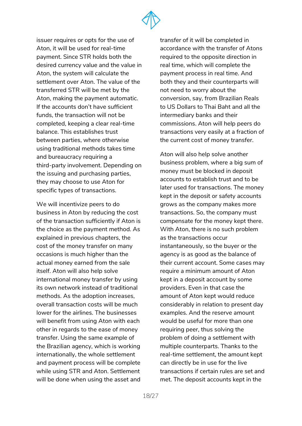

issuer requires or opts for the use of Aton, it will be used for real-time payment. Since STR holds both the desired currency value and the value in Aton, the system will calculate the settlement over Aton. The value of the transferred STR will be met by the Aton, making the payment automatic. If the accounts don't have sufficient funds, the transaction will not be completed, keeping a clear real-time balance. This establishes trust between parties, where otherwise using traditional methods takes time and bureaucracy requiring a third-party involvement. Depending on the issuing and purchasing parties, they may choose to use Aton for specific types of transactions.

We will incentivize peers to do business in Aton by reducing the cost of the transaction sufficiently if Aton is the choice as the payment method. As explained in previous chapters, the cost of the money transfer on many occasions is much higher than the actual money earned from the sale itself. Aton will also help solve international money transfer by using its own network instead of traditional methods. As the adoption increases, overall transaction costs will be much lower for the airlines. The businesses will benefit from using Aton with each other in regards to the ease of money transfer. Using the same example of the Brazilian agency, which is working internationally, the whole settlement and payment process will be complete while using STR and Aton. Settlement will be done when using the asset and transfer of it will be completed in accordance with the transfer of Atons required to the opposite direction in real time, which will complete the payment process in real time. And both they and their counterparts will not need to worry about the conversion, say, from Brazilian Reals to US Dollars to Thai Baht and all the intermediary banks and their commissions. Aton will help peers do transactions very easily at a fraction of the current cost of money transfer.

Aton will also help solve another business problem, where a big sum of money must be blocked in deposit accounts to establish trust and to be later used for transactions. The money kept in the deposit or safety accounts grows as the company makes more transactions. So, the company must compensate for the money kept there. With Aton, there is no such problem as the transactions occur instantaneously, so the buyer or the agency is as good as the balance of their current account. Some cases may require a minimum amount of Aton kept in a deposit account by some providers. Even in that case the amount of Aton kept would reduce considerably in relation to present day examples. And the reserve amount would be useful for more than one requiring peer, thus solving the problem of doing a settlement with multiple counterparts. Thanks to the real-time settlement, the amount kept can directly be in use for the live transactions if certain rules are set and met. The deposit accounts kept in the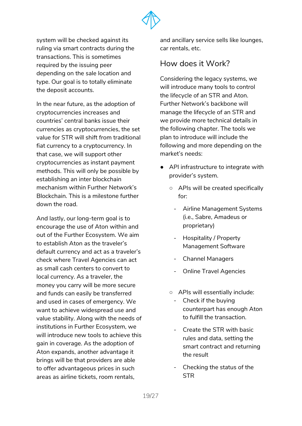

system will be checked against its ruling via smart contracts during the transactions. This is sometimes required by the issuing peer depending on the sale location and type. Our goal is to totally eliminate the deposit accounts.

In the near future, as the adoption of cryptocurrencies increases and countries' central banks issue their currencies as cryptocurrencies, the set value for STR will shift from traditional fiat currency to a cryptocurrency. In that case, we will support other cryptocurrencies as instant payment methods. This will only be possible by establishing an inter blockchain mechanism within Further Network's Blockchain. This is a milestone further down the road.

And lastly, our long-term goal is to encourage the use of Aton within and out of the Further Ecosystem. We aim to establish Aton as the traveler's default currency and act as a traveler's check where Travel Agencies can act as small cash centers to convert to local currency. As a traveler, the money you carry will be more secure and funds can easily be transferred and used in cases of emergency. We want to achieve widespread use and value stability. Along with the needs of institutions in Further Ecosystem, we will introduce new tools to achieve this gain in coverage. As the adoption of Aton expands, another advantage it brings will be that providers are able to offer advantageous prices in such areas as airline tickets, room rentals,

and ancillary service sells like lounges, car rentals, etc.

## <span id="page-18-0"></span>How does it Work?

Considering the legacy systems, we will introduce many tools to control the lifecycle of an STR and Aton. Further Network's backbone will manage the lifecycle of an STR and we provide more technical details in the following chapter. The tools we plan to introduce will include the following and more depending on the market's needs:

- API infrastructure to integrate with provider's system.
	- APIs will be created specifically for:
		- Airline Management Systems (i.e., Sabre, Amadeus or proprietary)
		- Hospitality / Property Management Software
		- Channel Managers
		- Online Travel Agencies
	- APIs will essentially include:
		- Check if the buying counterpart has enough Aton to fulfill the transaction.
		- Create the STR with basic rules and data, setting the smart contract and returning the result
		- Checking the status of the **STR**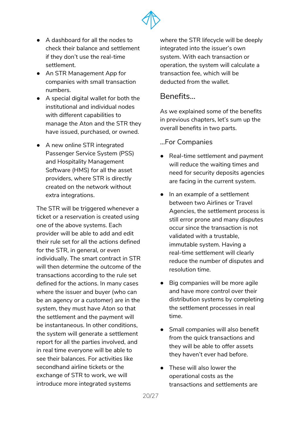

- A dashboard for all the nodes to check their balance and settlement if they don't use the real-time settlement.
- An STR Management App for companies with small transaction numbers.
- A special digital wallet for both the institutional and individual nodes with different capabilities to manage the Aton and the STR they have issued, purchased, or owned.
- A new online STR integrated Passenger Service System (PSS) and Hospitality Management Software (HMS) for all the asset providers, where STR is directly created on the network without extra integrations.

The STR will be triggered whenever a ticket or a reservation is created using one of the above systems. Each provider will be able to add and edit their rule set for all the actions defined for the STR, in general, or even individually. The smart contract in STR will then determine the outcome of the transactions according to the rule set defined for the actions. In many cases where the issuer and buyer (who can be an agency or a customer) are in the system, they must have Aton so that the settlement and the payment will be instantaneous. In other conditions, the system will generate a settlement report for all the parties involved, and in real time everyone will be able to see their balances. For activities like secondhand airline tickets or the exchange of STR to work, we will introduce more integrated systems

where the STR lifecycle will be deeply integrated into the issuer's own system. With each transaction or operation, the system will calculate a transaction fee, which will be deducted from the wallet.

## <span id="page-19-0"></span>Benefits...

As we explained some of the benefits in previous chapters, let's sum up the overall benefits in two parts.

#### <span id="page-19-1"></span>...For Companies

- Real-time settlement and payment will reduce the waiting times and need for security deposits agencies are facing in the current system.
- In an example of a settlement between two Airlines or Travel Agencies, the settlement process is still error prone and many disputes occur since the transaction is not validated with a trustable, immutable system. Having a real-time settlement will clearly reduce the number of disputes and resolution time.
- Big companies will be more agile and have more control over their distribution systems by completing the settlement processes in real time.
- Small companies will also benefit from the quick transactions and they will be able to offer assets they haven't ever had before.
- These will also lower the operational costs as the transactions and settlements are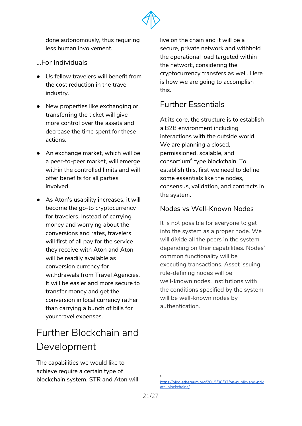

done autonomously, thus requiring less human involvement.

- <span id="page-20-0"></span>...For Individuals
- Us fellow travelers will benefit from the cost reduction in the travel industry.
- New properties like exchanging or transferring the ticket will give more control over the assets and decrease the time spent for these actions.
- An exchange market, which will be a peer-to-peer market, will emerge within the controlled limits and will offer benefits for all parties involved.
- As Aton's usability increases, it will become the go-to cryptocurrency for travelers. Instead of carrying money and worrying about the conversions and rates, travelers will first of all pay for the service they receive with Aton and Aton will be readily available as conversion currency for withdrawals from Travel Agencies. It will be easier and more secure to transfer money and get the conversion in local currency rather than carrying a bunch of bills for your travel expenses.

# <span id="page-20-1"></span>Further Blockchain and Development

The capabilities we would like to achieve require a certain type of blockchain system. STR and Aton will live on the chain and it will be a secure, private network and withhold the operational load targeted within the network, considering the cryptocurrency transfers as well. Here is how we are going to accomplish this.

## <span id="page-20-2"></span>Further Essentials

At its core, the structure is to establish a B2B environment including interactions with the outside world. We are planning a closed. permissioned, scalable, and consortium<sup>6</sup> type blockchain. To establish this, first we need to define some essentials like the nodes, consensus, validation, and contracts in the system.

### <span id="page-20-3"></span>Nodes vs Well-Known Nodes

It is not possible for everyone to get into the system as a proper node. We will divide all the peers in the system depending on their capabilities. Nodes' common functionality will be executing transactions. Asset issuing, rule-defining nodes will be well-known nodes. Institutions with the conditions specified by the system will be well-known nodes by authentication.

6

[https://blog.ethereum.org/2015/08/07/on-public-and-priv](https://blog.ethereum.org/2015/08/07/on-public-and-private-blockchains/) [ate-blockchains/](https://blog.ethereum.org/2015/08/07/on-public-and-private-blockchains/)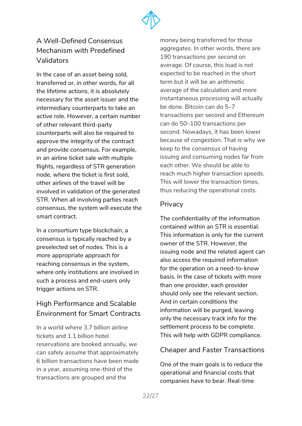

## <span id="page-21-0"></span>A Well-Defined Consensus Mechanism with Predefined Validators

In the case of an asset being sold, transferred or, in other words, for all the lifetime actions, it is absolutely necessary for the asset issuer and the intermediary counterparts to take an active role. However, a certain number of other relevant third-party counterparts will also be required to approve the integrity of the contract and provide consensus. For example, in an airline ticket sale with multiple flights, regardless of STR generation node, where the ticket is first sold, other airlines of the travel will be involved in validation of the generated STR. When all involving parties reach consensus, the system will execute the smart contract.

In a consortium type blockchain, a consensus is typically reached by a preselected set of nodes. This is a more appropriate approach for reaching consensus in the system, where only institutions are involved in such a process and end-users only trigger actions on STR.

## <span id="page-21-1"></span>High Performance and Scalable Environment for Smart Contracts

In a world where 3.7 billion airline tickets and 1.1 billion hotel reservations are booked annually, we can safely assume that approximately 6 billion transactions have been made in a year, assuming one-third of the transactions are grouped and the

money being transferred for those aggregates. In other words, there are 190 transactions per second on average. Of course, this load is not expected to be reached in the short term but it will be an arithmetic average of the calculation and more instantaneous processing will actually be done. Bitcoin can do 5–7 transactions per second and Ethereum can do 50–100 transactions per second. Nowadays, it has been lower because of congestion. That is why we keep to the consensus of having issuing and consuming nodes far from each other. We should be able to reach much higher transaction speeds. This will lower the transaction times, thus reducing the operational costs.

### <span id="page-21-2"></span>Privacy

The confidentiality of the information contained within an STR is essential. This information is only for the current owner of the STR. However, the issuing node and the related agent can also access the required information for the operation on a need-to-know basis. In the case of tickets with more than one provider, each provider should only see the relevant section. And in certain conditions the information will be purged, leaving only the necessary track info for the settlement process to be complete. This will help with GDPR compliance.

### Cheaper and Faster Transactions

One of the main goals is to reduce the operational and financial costs that companies have to bear. Real-time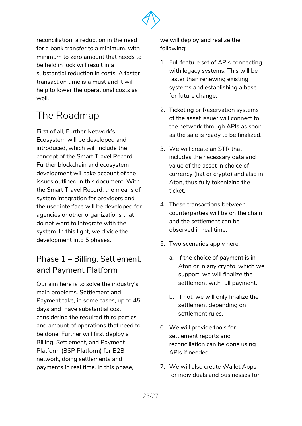

reconciliation, a reduction in the need for a bank transfer to a minimum, with minimum to zero amount that needs to be held in lock will result in a substantial reduction in costs. A faster transaction time is a must and it will help to lower the operational costs as well.

# <span id="page-22-0"></span>The Roadmap

First of all, Further Network's Ecosystem will be developed and introduced, which will include the concept of the Smart Travel Record. Further blockchain and ecosystem development will take account of the issues outlined in this document. With the Smart Travel Record, the means of system integration for providers and the user interface will be developed for agencies or other organizations that do not want to integrate with the system. In this light, we divide the development into 5 phases.

## <span id="page-22-1"></span>Phase 1 – Billing, Settlement, and Payment Platform

Our aim here is to solve the industry's main problems. Settlement and Payment take, in some cases, up to 45 days and have substantial cost considering the required third parties and amount of operations that need to be done. Further will first deploy a Billing, Settlement, and Payment Platform (BSP Platform) for B2B network, doing settlements and payments in real time. In this phase,

we will deploy and realize the following:

- 1. Full feature set of APIs connecting with legacy systems. This will be faster than renewing existing systems and establishing a base for future change.
- 2. Ticketing or Reservation systems of the asset issuer will connect to the network through APIs as soon as the sale is ready to be finalized.
- 3. We will create an STR that includes the necessary data and value of the asset in choice of currency (fiat or crypto) and also in Aton, thus fully tokenizing the ticket.
- 4. These transactions between counterparties will be on the chain and the settlement can be observed in real time.
- 5. Two scenarios apply here.
	- a. If the choice of payment is in Aton or in any crypto, which we support, we will finalize the settlement with full payment.
	- b. If not, we will only finalize the settlement depending on settlement rules.
- 6. We will provide tools for settlement reports and reconciliation can be done using APIs if needed.
- 7. We will also create Wallet Apps for individuals and businesses for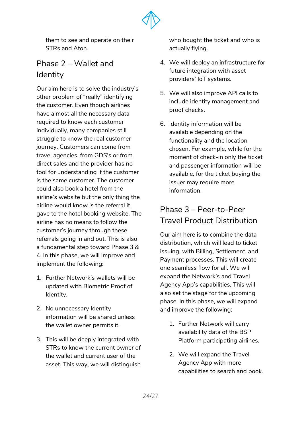

them to see and operate on their STRs and Aton.

## <span id="page-23-0"></span>Phase 2 – Wallet and **Identity**

Our aim here is to solve the industry's other problem of "really" identifying the customer. Even though airlines have almost all the necessary data required to know each customer individually, many companies still struggle to know the real customer journey. Customers can come from travel agencies, from GDS's or from direct sales and the provider has no tool for understanding if the customer is the same customer. The customer could also book a hotel from the airline's website but the only thing the airline would know is the referral it gave to the hotel booking website. The airline has no means to follow the customer's journey through these referrals going in and out. This is also a fundamental step toward Phase 3 & 4. In this phase, we will improve and implement the following:

- 1. Further Network's wallets will be updated with Biometric Proof of Identity.
- 2. No unnecessary Identity information will be shared unless the wallet owner permits it.
- 3. This will be deeply integrated with STRs to know the current owner of the wallet and current user of the asset. This way, we will distinguish

who bought the ticket and who is actually flying.

- 4. We will deploy an infrastructure for future integration with asset providers' IoT systems.
- 5. We will also improve API calls to include identity management and proof checks.
- 6. Identity information will be available depending on the functionality and the location chosen. For example, while for the moment of check-in only the ticket and passenger information will be available, for the ticket buying the issuer may require more information.

# <span id="page-23-1"></span>Phase 3 – Peer-to-Peer Travel Product Distribution

Our aim here is to combine the data distribution, which will lead to ticket issuing, with Billing, Settlement, and Payment processes. This will create one seamless flow for all. We will expand the Network's and Travel Agency App's capabilities. This will also set the stage for the upcoming phase. In this phase, we will expand and improve the following:

- 1. Further Network will carry availability data of the BSP Platform participating airlines.
- 2. We will expand the Travel Agency App with more capabilities to search and book.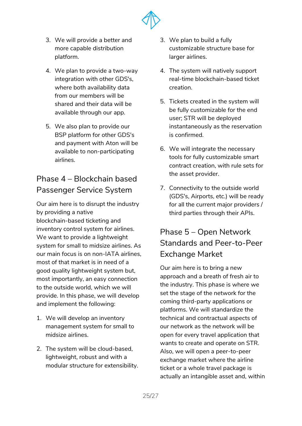

- 3. We will provide a better and more capable distribution platform.
- 4. We plan to provide a two-way integration with other GDS's, where both availability data from our members will be shared and their data will be available through our app.
- 5. We also plan to provide our BSP platform for other GDS's and payment with Aton will be available to non-participating airlines.

## <span id="page-24-0"></span>Phase 4 – Blockchain based Passenger Service System

Our aim here is to disrupt the industry by providing a native blockchain-based ticketing and inventory control system for airlines. We want to provide a lightweight system for small to midsize airlines. As our main focus is on non-IATA airlines, most of that market is in need of a good quality lightweight system but, most importantly, an easy connection to the outside world, which we will provide. In this phase, we will develop and implement the following:

- 1. We will develop an inventory management system for small to midsize airlines.
- 2. The system will be cloud-based, lightweight, robust and with a modular structure for extensibility.
- 3. We plan to build a fully customizable structure base for larger airlines.
- 4. The system will natively support real-time blockchain-based ticket creation.
- 5. Tickets created in the system will be fully customizable for the end user; STR will be deployed instantaneously as the reservation is confirmed.
- 6. We will integrate the necessary tools for fully customizable smart contract creation, with rule sets for the asset provider.
- 7. Connectivity to the outside world (GDS's, Airports, etc.) will be ready for all the current major providers / third parties through their APIs.

# <span id="page-24-1"></span>Phase 5 – Open Network Standards and Peer-to-Peer Exchange Market

Our aim here is to bring a new approach and a breath of fresh air to the industry. This phase is where we set the stage of the network for the coming third-party applications or platforms. We will standardize the technical and contractual aspects of our network as the network will be open for every travel application that wants to create and operate on STR. Also, we will open a peer-to-peer exchange market where the airline ticket or a whole travel package is actually an intangible asset and, within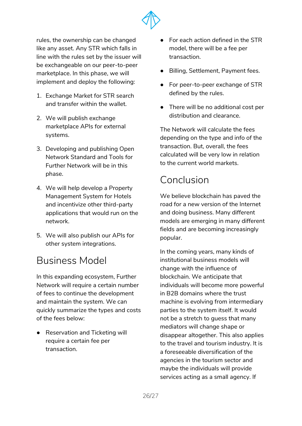

rules, the ownership can be changed like any asset. Any STR which falls in line with the rules set by the issuer will be exchangeable on our peer-to-peer marketplace. In this phase, we will implement and deploy the following:

- 1. Exchange Market for STR search and transfer within the wallet.
- 2. We will publish exchange marketplace APIs for external systems.
- 3. Developing and publishing Open Network Standard and Tools for Further Network will be in this phase.
- 4. We will help develop a Property Management System for Hotels and incentivize other third-party applications that would run on the network.
- 5. We will also publish our APIs for other system integrations.

# <span id="page-25-0"></span>Business Model

In this expanding ecosystem, Further Network will require a certain number of fees to continue the development and maintain the system. We can quickly summarize the types and costs of the fees below:

● Reservation and Ticketing will require a certain fee per transaction.

- For each action defined in the STR model, there will be a fee per transaction.
- Billing, Settlement, Payment fees.
- For peer-to-peer exchange of STR defined by the rules.
- There will be no additional cost per distribution and clearance.

The Network will calculate the fees depending on the type and info of the transaction. But, overall, the fees calculated will be very low in relation to the current world markets.

# <span id="page-25-1"></span>Conclusion

We believe blockchain has paved the road for a new version of the Internet and doing business. Many different models are emerging in many different fields and are becoming increasingly popular.

In the coming years, many kinds of institutional business models will change with the influence of blockchain. We anticipate that individuals will become more powerful in B2B domains where the trust machine is evolving from intermediary parties to the system itself. It would not be a stretch to guess that many mediators will change shape or disappear altogether. This also applies to the travel and tourism industry. It is a foreseeable diversification of the agencies in the tourism sector and maybe the individuals will provide services acting as a small agency. If